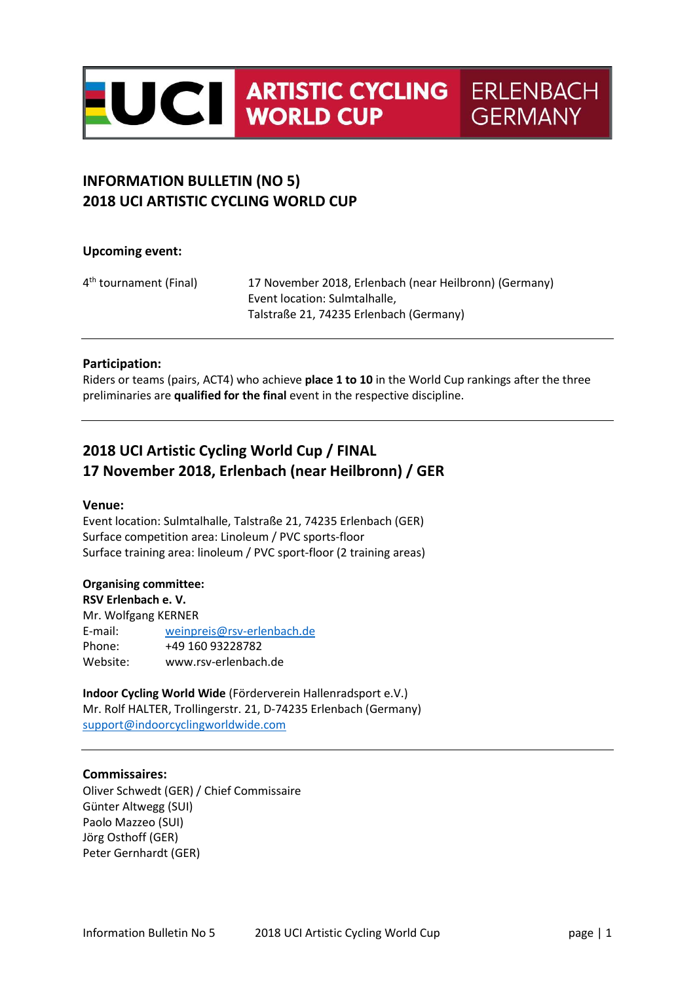

# INFORMATION BULLETIN (NO 5) 2018 UCI ARTISTIC CYCLING WORLD CUP

# Upcoming event:

4<sup>th</sup> tournament (Final) 17 November 2018, Erlenbach (near Heilbronn) (Germany) Event location: Sulmtalhalle, Talstraße 21, 74235 Erlenbach (Germany)

### Participation:

Riders or teams (pairs, ACT4) who achieve **place 1 to 10** in the World Cup rankings after the three preliminaries are qualified for the final event in the respective discipline.

# 2018 UCI Artistic Cycling World Cup / FINAL 17 November 2018, Erlenbach (near Heilbronn) / GER

### Venue:

Event location: Sulmtalhalle, Talstraße 21, 74235 Erlenbach (GER) Surface competition area: Linoleum / PVC sports-floor Surface training area: linoleum / PVC sport-floor (2 training areas)

### Organising committee:

RSV Erlenbach e. V. Mr. Wolfgang KERNER E-mail: weinpreis@rsv-erlenbach.de Phone: +49 160 93228782 Website: www.rsv-erlenbach.de

Indoor Cycling World Wide (Förderverein Hallenradsport e.V.) Mr. Rolf HALTER, Trollingerstr. 21, D-74235 Erlenbach (Germany) support@indoorcyclingworldwide.com

### Commissaires:

Oliver Schwedt (GER) / Chief Commissaire Günter Altwegg (SUI) Paolo Mazzeo (SUI) Jörg Osthoff (GER) Peter Gernhardt (GER)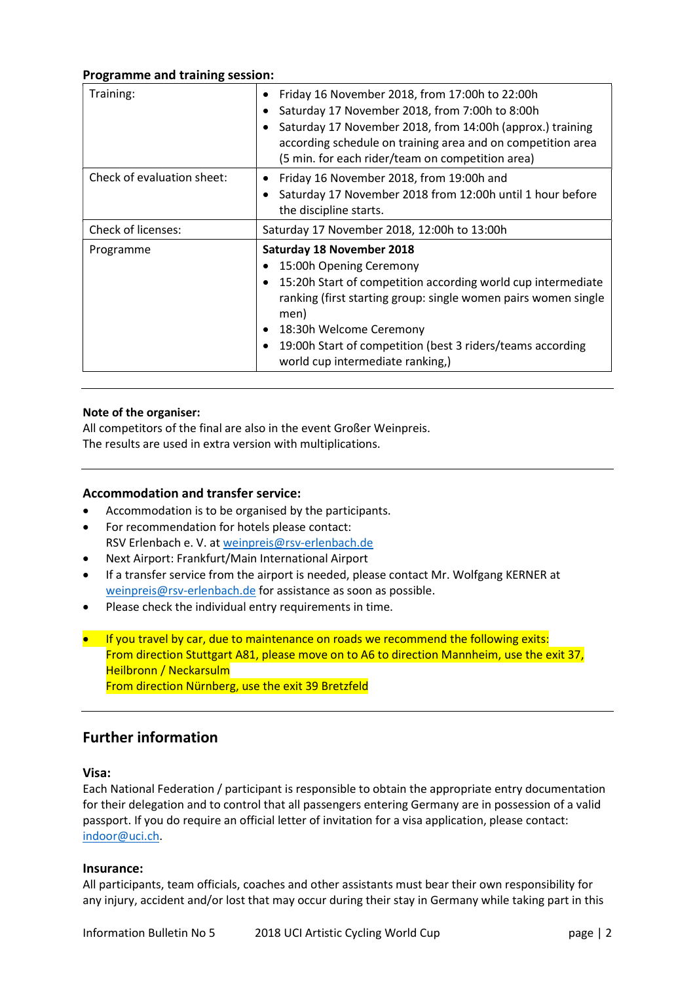## Programme and training session:

| Training:                  | Friday 16 November 2018, from 17:00h to 22:00h<br>$\bullet$<br>Saturday 17 November 2018, from 7:00h to 8:00h<br>Saturday 17 November 2018, from 14:00h (approx.) training<br>according schedule on training area and on competition area<br>(5 min. for each rider/team on competition area)                                            |
|----------------------------|------------------------------------------------------------------------------------------------------------------------------------------------------------------------------------------------------------------------------------------------------------------------------------------------------------------------------------------|
| Check of evaluation sheet: | Friday 16 November 2018, from 19:00h and<br>Saturday 17 November 2018 from 12:00h until 1 hour before<br>the discipline starts.                                                                                                                                                                                                          |
| Check of licenses:         | Saturday 17 November 2018, 12:00h to 13:00h                                                                                                                                                                                                                                                                                              |
| Programme                  | Saturday 18 November 2018<br>15:00h Opening Ceremony<br>15:20h Start of competition according world cup intermediate<br>$\bullet$<br>ranking (first starting group: single women pairs women single<br>men)<br>18:30h Welcome Ceremony<br>19:00h Start of competition (best 3 riders/teams according<br>world cup intermediate ranking,) |

### Note of the organiser:

All competitors of the final are also in the event Großer Weinpreis. The results are used in extra version with multiplications.

## Accommodation and transfer service:

- Accommodation is to be organised by the participants.
- For recommendation for hotels please contact: RSV Erlenbach e. V. at weinpreis@rsv-erlenbach.de
- Next Airport: Frankfurt/Main International Airport
- If a transfer service from the airport is needed, please contact Mr. Wolfgang KERNER at weinpreis@rsv-erlenbach.de for assistance as soon as possible.
- Please check the individual entry requirements in time.
- If you travel by car, due to maintenance on roads we recommend the following exits: From direction Stuttgart A81, please move on to A6 to direction Mannheim, use the exit 37, Heilbronn / Neckarsulm From direction Nürnberg, use the exit 39 Bretzfeld

# Further information

### Visa:

Each National Federation / participant is responsible to obtain the appropriate entry documentation for their delegation and to control that all passengers entering Germany are in possession of a valid passport. If you do require an official letter of invitation for a visa application, please contact: indoor@uci.ch.

### Insurance:

All participants, team officials, coaches and other assistants must bear their own responsibility for any injury, accident and/or lost that may occur during their stay in Germany while taking part in this